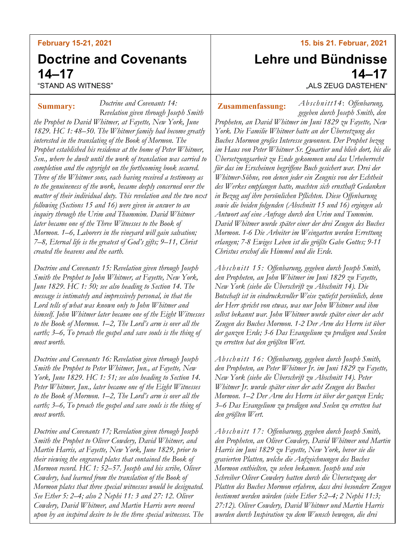### **February 15-21, 2021**

# **Doctrine and Covenants 14–17**

"STAND AS WITNESS"

*Doctrine and Covenants 14: Revelation given through Joseph Smith the Prophet to David Whitmer, at Fayette, New York, June 1829. HC 1: 48–50. The Whitmer family had become greatly interested in the translating of the Book of Mormon. The Prophet established his residence at the home of Peter Whitmer, Sen., where he dwelt until the work of translation was carried to completion and the copyright on the forthcoming book secured. Three of the Whitmer sons, each having received a testimony as to the genuineness of the work, became deeply concerned over the matter of their individual duty. This revelation and the two next following (Sections 15 and 16) were given in answer to an inquiry through the Urim and Thummim. David Whitmer later became one of the Three Witnesses to the Book of Mormon. 1–6, Laborers in the vineyard will gain salvation; 7–8, Eternal life is the greatest of God's gifts; 9–11, Christ created the heavens and the earth.* **Summary: Zusammenfassung:**

*Doctrine and Covenants 15: Revelation given through Joseph Smith the Prophet to John Whitmer, at Fayette, New York, June 1829. HC 1: 50; see also heading to Section 14. The message is intimately and impressively personal, in that the Lord tells of what was known only to John Whitmer and himself. John Whitmer later became one of the Eight Witnesses to the Book of Mormon. 1–2, The Lord's arm is over all the earth; 3–6, To preach the gospel and save souls is the thing of most worth.*

*Doctrine and Covenants 16: Revelation given through Joseph Smith the Prophet to Peter Whitmer, Jun., at Fayette, New York, June 1829. HC 1: 51; see also heading to Section 14. Peter Whitmer, Jun., later became one of the Eight Witnesses to the Book of Mormon. 1–2, The Lord's arm is over all the earth; 3–6, To preach the gospel and save souls is the thing of most worth.*

*Doctrine and Covenants 17; Revelation given through Joseph Smith the Prophet to Oliver Cowdery, David Whitmer, and Martin Harris, at Fayette, New York, June 1829, prior to their viewing the engraved plates that contained the Book of Mormon record. HC 1: 52–57. Joseph and his scribe, Oliver Cowdery, had learned from the translation of the Book of Mormon plates that three special witnesses would be designated. See Ether 5: 2–4; also 2 Nephi 11: 3 and 27: 12. Oliver Cowdery, David Whitmer, and Martin Harris were moved upon by an inspired desire to be the three special witnesses. The* 

#### **15. bis 21. Februar, 2021**

# **Lehre und Bündnisse 14–17**

"ALS ZEUG DASTEHEN"

*Abschnitt14*: *Offenbarung,* 

*gegeben durch Joseph Smith, den Propheten, an David Whitmer im Juni 1829 zu Fayette, New York. Die Familie Whitmer hatte an der Übersetzung des Buches Mormon großes Interesse gewonnen. Der Prophet bezog im Haus von Peter Whitmer Sr. Quartier und blieb dort, bis die Übersetzungsarbeit zu Ende gekommen und das Urheberrecht für das im Erscheinen begriffene Buch gesichert war. Drei der Whitmer-Söhne, von denen jeder ein Zeugnis von der Echtheit des Werkes empfangen hatte, machten sich ernsthaft Gedanken in Bezug auf ihre persönlichen Pflichten. Diese Offenbarung sowie die beiden folgenden (Abschnitt 15 und 16) ergingen als Antwort auf eine Anfrage durch den Urim und Tummim. David Whitmer wurde später einer der drei Zeugen des Buches Mormon. 1-6 Die Arbeiter im Weingarten werden Errettung erlangen; 7-8 Ewiges Leben ist die größte Gabe Gottes; 9-11 Christus erschuf die Himmel und die Erde.*

*Abschnitt 15: Offenbarung, gegeben durch Joseph Smith, den Propheten, an John Whitmer im Juni 1829 zu Fayette, New York (siehe die Überschrift zu Abschnitt 14). Die Botschaft ist in eindrucksvoller Weise zutiefst persönlich, denn der Herr spricht von etwas, was nur John Whitmer und ihm selbst bekannt war. John Whitmer wurde später einer der acht Zeugen des Buches Mormon. 1-2 Der Arm des Herrn ist über der ganzen Erde; 3-6 Das Evangelium zu predigen und Seelen zu erretten hat den größten Wert.*

*Abschnitt 16: Offenbarung, gegeben durch Joseph Smith, den Propheten, an Peter Whitmer Jr. im Juni 1829 zu Fayette, New York (siehe die Überschrift zu Abschnitt 14). Peter Whitmer Jr. wurde später einer der acht Zeugen des Buches Mormon. 1–2 Der Arm des Herrn ist über der ganzen Erde; 3–6 Das Evangelium zu predigen und Seelen zu erretten hat den größten Wert.*

*Abschnitt 17: Offenbarung, gegeben durch Joseph Smith, den Propheten, an Oliver Cowdery, David Whitmer und Martin Harris im Juni 1829 zu Fayette, New York, bevor sie die gravierten Platten, welche die Aufzeichnungen des Buches Mormon enthielten, zu sehen bekamen. Joseph und sein Schreiber Oliver Cowdery hatten durch die Übersetzung der Platten des Buches Mormon erfahren, dass drei besondere Zeugen bestimmt werden würden (siehe Ether 5:2–4; 2 Nephi 11:3; 27:12). Oliver Cowdery, David Whitmer und Martin Harris wurden durch Inspiration zu dem Wunsch bewogen, die drei*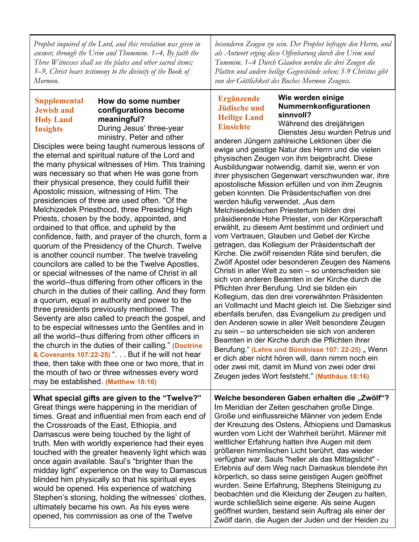*Prophet inquired of the Lord, and this revelation was given in answer, through the Urim and Thummim. 1–4, By faith the Three Witnesses shall see the plates and other sacred items; 5–9, Christ bears testimony to the divinity of the Book of Mormon.*

#### **Supplemental Jewish and Holy Land Insights**

# **How do some number configurations become meaningful?**

During Jesus' three-year ministry, Peter and other

Disciples were being taught numerous lessons of the eternal and spiritual nature of the Lord and the many physical witnesses of Him. This training was necessary so that when He was gone from their physical presence, they could fulfill their Apostolic mission, witnessing of Him. The presidencies of three are used often. "Of the Melchizedek Priesthood, three Presiding High Priests, chosen by the body, appointed, and ordained to that office, and upheld by the confidence, faith, and prayer of the church, form a quorum of the Presidency of the Church. Twelve is another council number. The twelve traveling councilors are called to be the Twelve Apostles, or special witnesses of the name of Christ in all the world--thus differing from other officers in the church in the duties of their calling. And they form a quorum, equal in authority and power to the three presidents previously mentioned. The Seventy are also called to preach the gospel, and to be especial witnesses unto the Gentiles and in all the world--thus differing from other officers in the church in the duties of their calling." **(Doctrine & Covenants 107:22-25)** ". . . But if he will not hear thee*,* then take with thee one or two more, that in the mouth of two or three witnesses every word may be established. **(Matthew 18:16)**

**What special gifts are given to the "Twelve?"** Great things were happening in the meridian of times. Great and influential men from each end of the Crossroads of the East, Ethiopia, and Damascus were being touched by the light of truth. Men with worldly experience had their eyes touched with the greater heavenly light which was once again available. Saul's "brighter than the midday light" experience on the way to Damascus blinded him physically so that his spiritual eyes would be opened. His experience of watching Stephen's stoning, holding the witnesses' clothes, ultimately became his own. As his eyes were opened, his commission as one of the Twelve

*besonderen Zeugen zu sein. Der Prophet befragte den Herrn, und als Antwort erging diese Offenbarung durch den Urim und Tummim. 1–4 Durch Glauben werden die drei Zeugen die Platten und andere heilige Gegenstände sehen; 5-9 Christus gibt von der Göttlichkeit des Buches Mormon Zeugnis.*

# **Ergänzende Jüdische und Heilige Land Einsichte**

# **Wie werden einige Nummernkonfigurationen sinnvoll?**

Während des dreijährigen Dienstes Jesu wurden Petrus und

anderen Jüngern zahlreiche Lektionen über die ewige und geistige Natur des Herrn und die vielen physischen Zeugen von ihm beigebracht. Diese Ausbildungwar notwendig, damit sie, wenn er von ihrer physischen Gegenwart verschwunden war, ihre apostolische Mission erfüllen und von ihm Zeugnis geben konnten. Die Präsidentschaften von drei werden häufig verwendet. "Aus dem Melchisedekischen Priestertum bilden drei präsidierende Hohe Priester, von der Körperschaft erwählt, zu diesem Amt bestimmt und ordiniert und vom Vertrauen, Glauben und Gebet der Kirche getragen, das Kollegium der Präsidentschaft der Kirche. Die zwölf reisenden Räte sind berufen, die Zwölf Apostel oder besonderen Zeugen des Namens Christi in aller Welt zu sein – so unterscheiden sie sich von anderen Beamten in der Kirche durch die Pflichten ihrer Berufung. Und sie bilden ein Kollegium, das den drei vorerwähnten Präsidenten an Vollmacht und Macht gleich ist. Die Siebziger sind ebenfalls berufen, das Evangelium zu predigen und den Anderen sowie in aller Welt besondere Zeugen zu sein – so unterscheiden sie sich von anderen Beamten in der Kirche durch die Pflichten ihrer Berufung." (Lehre und Bündnisse 107: 22-25), Wenn er dich aber nicht hören will, dann nimm noch ein oder zwei mit, damit im Mund von zwei oder drei Zeugen jedes Wort feststeht." **(Matthäus 18:16)**

**Welche besonderen Gaben erhalten die "Zwölf"?** Im Meridian der Zeiten geschahen große Dinge. Große und einflussreiche Männer von jedem Ende der Kreuzung des Ostens, Äthiopiens und Damaskus wurden vom Licht der Wahrheit berührt. Männer mit weltlicher Erfahrung hatten ihre Augen mit dem größeren himmlischen Licht berührt, das wieder verfügbar war. Sauls "heller als das Mittagslicht" - Erlebnis auf dem Weg nach Damaskus blendete ihn körperlich, so dass seine geistigen Augen geöffnet wurden. Seine Erfahrung, Stephens Steinigung zu beobachten und die Kleidung der Zeugen zu halten, wurde schließlich seine eigene. Als seine Augen geöffnet wurden, bestand sein Auftrag als einer der Zwölf darin, die Augen der Juden und der Heiden zu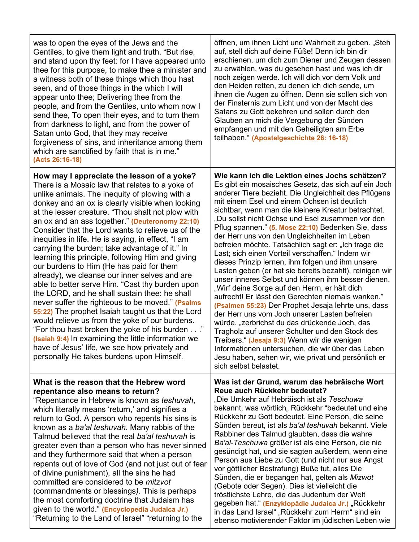| was to open the eyes of the Jews and the<br>Gentiles, to give them light and truth. "But rise,<br>and stand upon thy feet: for I have appeared unto<br>thee for this purpose, to make thee a minister and<br>a witness both of these things which thou hast<br>seen, and of those things in the which I will<br>appear unto thee; Delivering thee from the<br>people, and from the Gentiles, unto whom now I<br>send thee, To open their eyes, and to turn them<br>from darkness to light, and from the power of<br>Satan unto God, that they may receive<br>forgiveness of sins, and inheritance among them<br>which are sanctified by faith that is in me."<br>(Acts 26:16-18)                                                                                                                                                                                                                                                                                                                                                                                                                | öffnen, um ihnen Licht und Wahrheit zu geben. "Steh<br>auf, stell dich auf deine Füße! Denn ich bin dir<br>erschienen, um dich zum Diener und Zeugen dessen<br>zu erwählen, was du gesehen hast und was ich dir<br>noch zeigen werde. Ich will dich vor dem Volk und<br>den Heiden retten, zu denen ich dich sende, um<br>ihnen die Augen zu öffnen. Denn sie sollen sich von<br>der Finsternis zum Licht und von der Macht des<br>Satans zu Gott bekehren und sollen durch den<br>Glauben an mich die Vergebung der Sünden<br>empfangen und mit den Geheiligten am Erbe<br>teilhaben." (Apostelgeschichte 26: 16-18)                                                                                                                                                                                                                                                                                                                                                                                                                                                                                                                                                                                                   |
|-------------------------------------------------------------------------------------------------------------------------------------------------------------------------------------------------------------------------------------------------------------------------------------------------------------------------------------------------------------------------------------------------------------------------------------------------------------------------------------------------------------------------------------------------------------------------------------------------------------------------------------------------------------------------------------------------------------------------------------------------------------------------------------------------------------------------------------------------------------------------------------------------------------------------------------------------------------------------------------------------------------------------------------------------------------------------------------------------|-------------------------------------------------------------------------------------------------------------------------------------------------------------------------------------------------------------------------------------------------------------------------------------------------------------------------------------------------------------------------------------------------------------------------------------------------------------------------------------------------------------------------------------------------------------------------------------------------------------------------------------------------------------------------------------------------------------------------------------------------------------------------------------------------------------------------------------------------------------------------------------------------------------------------------------------------------------------------------------------------------------------------------------------------------------------------------------------------------------------------------------------------------------------------------------------------------------------------|
| How may I appreciate the lesson of a yoke?<br>There is a Mosaic law that relates to a yoke of<br>unlike animals. The inequity of plowing with a<br>donkey and an ox is clearly visible when looking<br>at the lesser creature. "Thou shalt not plow with<br>an ox and an ass together." (Deuteronomy 22:10)<br>Consider that the Lord wants to relieve us of the<br>inequities in life. He is saying, in effect, "I am<br>carrying the burden; take advantage of it." In<br>learning this principle, following Him and giving<br>our burdens to Him (He has paid for them<br>already), we cleanse our inner selves and are<br>able to better serve Him. "Cast thy burden upon<br>the LORD, and he shall sustain thee: he shall<br>never suffer the righteous to be moved." (Psalms<br>55:22) The prophet Isaiah taught us that the Lord<br>would relieve us from the yoke of our burdens.<br>"For thou hast broken the yoke of his burden"<br>(Isaiah 9:4) In examining the little information we<br>have of Jesus' life, we see how privately and<br>personally He takes burdens upon Himself. | Wie kann ich die Lektion eines Jochs schätzen?<br>Es gibt ein mosaisches Gesetz, das sich auf ein Joch<br>anderer Tiere bezieht. Die Ungleichheit des Pflügens<br>mit einem Esel und einem Ochsen ist deutlich<br>sichtbar, wenn man die kleinere Kreatur betrachtet.<br>"Du sollst nicht Ochse und Esel zusammen vor den<br>Pflug spannen." (5. Mose 22:10) Bedenken Sie, dass<br>der Herr uns von den Ungleichheiten im Leben<br>befreien möchte. Tatsächlich sagt er: "Ich trage die<br>Last; sich einen Vorteil verschaffen." Indem wir<br>dieses Prinzip lernen, ihm folgen und ihm unsere<br>Lasten geben (er hat sie bereits bezahlt), reinigen wir<br>unser inneres Selbst und können ihm besser dienen.<br>"Wirf deine Sorge auf den Herrn, er hält dich<br>aufrecht! Er lässt den Gerechten niemals wanken."<br>(Psalmen 55:23) Der Prophet Jesaja lehrte uns, dass<br>der Herr uns vom Joch unserer Lasten befreien<br>würde. "zerbrichst du das drückende Joch, das<br>Tragholz auf unserer Schulter und den Stock des<br>Treibers." (Jesaja 9:3) Wenn wir die wenigen<br>Informationen untersuchen, die wir über das Leben<br>Jesu haben, sehen wir, wie privat und persönlich er<br>sich selbst belastet. |
| What is the reason that the Hebrew word<br>repentance also means to return?<br>"Repentance in Hebrew is known as teshuvah,<br>which literally means 'return,' and signifies a<br>return to God. A person who repents his sins is<br>known as a ba'al teshuvah. Many rabbis of the<br>Talmud believed that the real ba'al teshuvah is<br>greater even than a person who has never sinned<br>and they furthermore said that when a person<br>repents out of love of God (and not just out of fear<br>of divine punishment), all the sins he had<br>committed are considered to be <i>mitzvot</i><br>(commandments or blessings). This is perhaps<br>the most comforting doctrine that Judaism has<br>given to the world." (Encyclopedia Judaica Jr.)<br>"Returning to the Land of Israel" "returning to the                                                                                                                                                                                                                                                                                       | Was ist der Grund, warum das hebräische Wort<br>Reue auch Rückkehr bedeutet?<br>"Die Umkehr auf Hebräisch ist als Teschuwa<br>bekannt, was wörtlich,, Rückkehr "bedeutet und eine<br>Rückkehr zu Gott bedeutet. Eine Person, die seine<br>Sünden bereut, ist als ba'al teshuvah bekannt. Viele<br>Rabbiner des Talmud glaubten, dass die wahre<br>Ba'al-Teschuwa größer ist als eine Person, die nie<br>gesündigt hat, und sie sagten außerdem, wenn eine<br>Person aus Liebe zu Gott (und nicht nur aus Angst<br>vor göttlicher Bestrafung) Buße tut, alles Die<br>Sünden, die er begangen hat, gelten als Mizwot<br>(Gebote oder Segen). Dies ist vielleicht die<br>tröstlichste Lehre, die das Judentum der Welt<br>gegeben hat." (Enzyklopädie Judaica Jr.) "Rückkehr<br>in das Land Israel" "Rückkehr zum Herrn" sind ein<br>ebenso motivierender Faktor im jüdischen Leben wie                                                                                                                                                                                                                                                                                                                                    |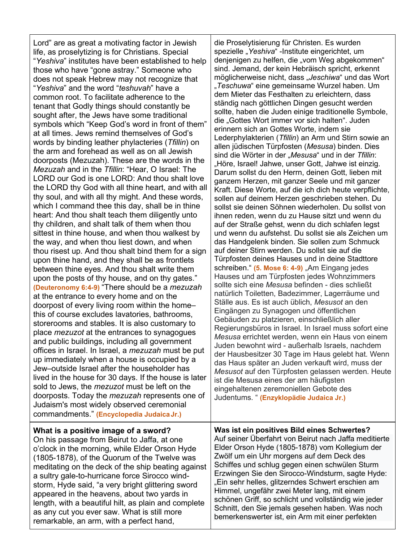Lord" are as great a motivating factor in Jewish life, as proselytizing is for Christians. Special "*Yeshiva*" institutes have been established to help those who have "gone astray." Someone who does not speak Hebrew may not recognize that "*Yeshiva*" and the word "*teshuvah*" have a common root. To facilitate adherence to the tenant that Godly things should constantly be sought after, the Jews have some traditional symbols which "Keep God's word in front of them" at all times. Jews remind themselves of God's words by binding leather phylacteries (*Tfillin*) on the arm and forehead as well as on all Jewish doorposts (Mezuzah). These are the words in the *Mezuzah* and in the *Tfillin*: "Hear, O Israel: The LORD our God is one LORD: And thou shalt love the LORD thy God with all thine heart, and with all thy soul, and with all thy might. And these words, which I command thee this day, shall be in thine heart: And thou shalt teach them diligently unto thy children, and shalt talk of them when thou sittest in thine house, and when thou walkest by the way, and when thou liest down, and when thou risest up. And thou shalt bind them for a sign upon thine hand, and they shall be as frontlets between thine eyes. And thou shalt write them upon the posts of thy house, and on thy gates." **(Deuteronomy 6:4-9)** "There should be a *mezuzah* at the entrance to every home and on the doorpost of every living room within the home– this of course excludes lavatories, bathrooms, storerooms and stables. It is also customary to place *mezuzot* at the entrances to synagogues and public buildings, including all government offices in Israel. In Israel, a *mezuzah* must be put up immediately when a house is occupied by a Jew–outside Israel after the householder has lived in the house for 30 days. If the house is later sold to Jews, the *mezuzot* must be left on the doorposts. Today the *mezuzah* represents one of Judaism's most widely observed ceremonial commandments." **(Encyclopedia JudaicaJr.)**

#### die Proselytisierung für Christen. Es wurden spezielle "Yeshiva" -Institute eingerichtet, um denjenigen zu helfen, die "vom Weg abgekommen" sind. Jemand, der kein Hebräisch spricht, erkennt möglicherweise nicht, dass "*Jeschiwa*" und das Wort "*Teschuwa*" eine gemeinsame Wurzel haben. Um dem Mieter das Festhalten zu erleichtern, dass ständig nach göttlichen Dingen gesucht werden sollte, haben die Juden einige traditionelle Symbole, die "Gottes Wort immer vor sich halten". Juden erinnern sich an Gottes Worte, indem sie Lederphylakterien (*Tfillin*) an Arm und Stirn sowie an allen jüdischen Türpfosten (*Mesusa*) binden. Dies sind die Wörter in der "*Mesusa*" und in der *Tfillin*: "Höre, Israel! Jahwe, unser Gott, Jahwe ist einzig. Darum sollst du den Herrn, deinen Gott, lieben mit ganzem Herzen, mit ganzer Seele und mit ganzer Kraft. Diese Worte, auf die ich dich heute verpflichte, sollen auf deinem Herzen geschrieben stehen. Du sollst sie deinen Söhnen wiederholen. Du sollst von ihnen reden, wenn du zu Hause sitzt und wenn du auf der Straße gehst, wenn du dich schlafen legst und wenn du aufstehst. Du sollst sie als Zeichen um das Handgelenk binden. Sie sollen zum Schmuck auf deiner Stirn werden. Du sollst sie auf die Türpfosten deines Hauses und in deine Stadttore schreiben." (5. Mose 6: 4-9) "Am Eingang jedes Hauses und am Türpfosten jedes Wohnzimmers sollte sich eine *Mesusa* befinden - dies schließt natürlich Toiletten, Badezimmer, Lagerräume und Ställe aus. Es ist auch üblich, *Mesusot* an den Eingängen zu Synagogen und öffentlichen Gebäuden zu platzieren, einschließlich aller Regierungsbüros in Israel. In Israel muss sofort eine *Mesusa* errichtet werden, wenn ein Haus von einem Juden bewohnt wird - außerhalb Israels, nachdem der Hausbesitzer 30 Tage im Haus gelebt hat. Wenn das Haus später an Juden verkauft wird, muss der *Mesusot* auf den Türpfosten gelassen werden. Heute ist die Mesusa eines der am häufigsten eingehaltenen zeremoniellen Gebote des

Judentums. " **(Enzyklopädie Judaica Jr.)**

## **What is a positive image of a sword?** On his passage from Beirut to Jaffa, at one o'clock in the morning, while Elder Orson Hyde (1805-1878), of the Quorum of the Twelve was meditating on the deck of the ship beating against a sultry gale-to-hurricane force Sirocco windstorm, Hyde said, "a very bright glittering sword appeared in the heavens, about two yards in length, with a beautiful hilt, as plain and complete as any cut you ever saw. What is still more remarkable, an arm, with a perfect hand,

**Was ist ein positives Bild eines Schwertes?** Auf seiner Überfahrt von Beirut nach Jaffa meditierte Elder Orson Hyde (1805-1878) vom Kollegium der Zwölf um ein Uhr morgens auf dem Deck des Schiffes und schlug gegen einen schwülen Sturm Erzwingen Sie den Sirocco-Windsturm, sagte Hyde: "Ein sehr helles, glitzerndes Schwert erschien am Himmel, ungefähr zwei Meter lang, mit einem schönen Griff, so schlicht und vollständig wie jeder Schnitt, den Sie jemals gesehen haben. Was noch bemerkenswerter ist, ein Arm mit einer perfekten